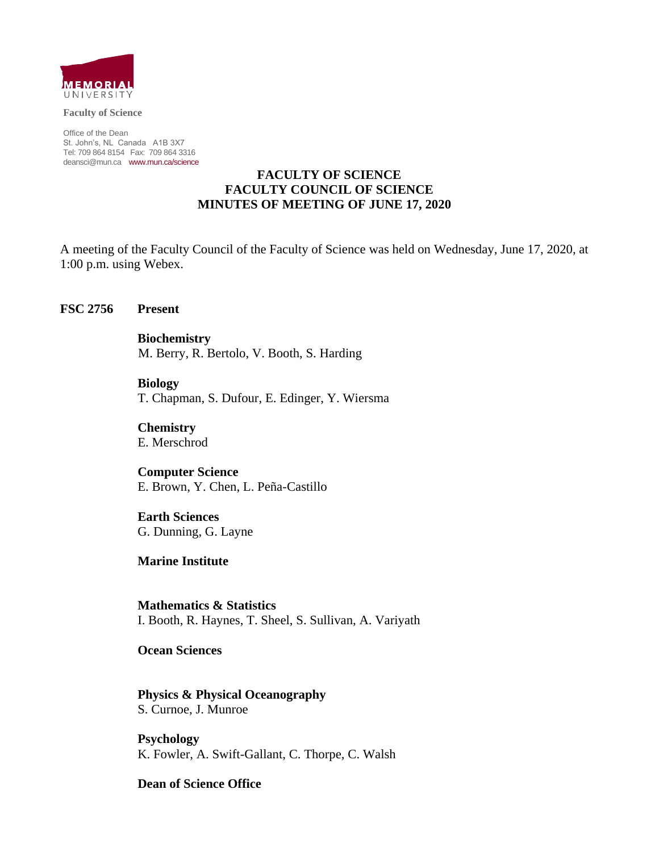

**Faculty of Science**

Office of the Dean St. John's, NL Canada A1B 3X7 Tel: 709 864 8154 Fax: 709 864 3316 [deansci@mun.ca](mailto:deansci@mun.ca) [www.mun.ca/science](http://www.mun.ca/science)

### **FACULTY OF SCIENCE FACULTY COUNCIL OF SCIENCE MINUTES OF MEETING OF JUNE 17, 2020**

A meeting of the Faculty Council of the Faculty of Science was held on Wednesday, June 17, 2020, at 1:00 p.m. using Webex.

#### **FSC 2756 Present**

**Biochemistry**  M. Berry, R. Bertolo, V. Booth, S. Harding

**Biology**  T. Chapman, S. Dufour, E. Edinger, Y. Wiersma

**Chemistry**  E. Merschrod

**Computer Science** E. Brown, Y. Chen, L. Peña-Castillo

**Earth Sciences**  G. Dunning, G. Layne

**Marine Institute**

**Mathematics & Statistics**  I. Booth, R. Haynes, T. Sheel, S. Sullivan, A. Variyath

**Ocean Sciences**

**Physics & Physical Oceanography** S. Curnoe, J. Munroe

**Psychology**  K. Fowler, A. Swift-Gallant, C. Thorpe, C. Walsh

#### **Dean of Science Office**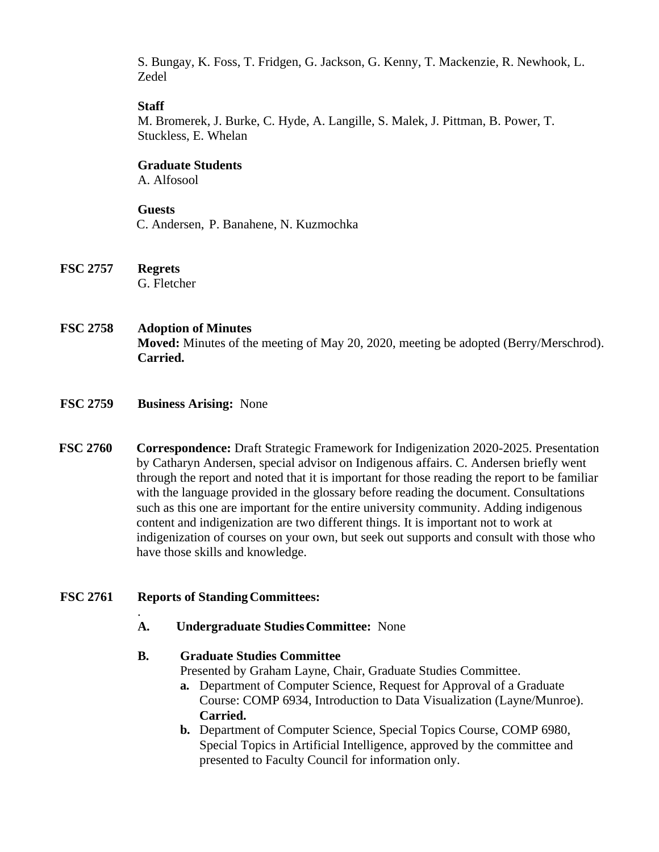S. Bungay, K. Foss, T. Fridgen, G. Jackson, G. Kenny, T. Mackenzie, R. Newhook, L. Zedel

### **Staff**

M. Bromerek, J. Burke, C. Hyde, A. Langille, S. Malek, J. Pittman, B. Power, T. Stuckless, E. Whelan

### **Graduate Students**

A. Alfosool

#### **Guests**

C. Andersen, P. Banahene, N. Kuzmochka

- **FSC 2757 Regrets**  G. Fletcher
- **FSC 2758 Adoption of Minutes Moved:** Minutes of the meeting of May 20, 2020, meeting be adopted (Berry/Merschrod). **Carried.**
- **FSC 2759 Business Arising:** None
- **FSC 2760 Correspondence:** Draft Strategic Framework for Indigenization 2020-2025. Presentation by Catharyn Andersen, special advisor on Indigenous affairs. C. Andersen briefly went through the report and noted that it is important for those reading the report to be familiar with the language provided in the glossary before reading the document. Consultations such as this one are important for the entire university community. Adding indigenous content and indigenization are two different things. It is important not to work at indigenization of courses on your own, but seek out supports and consult with those who have those skills and knowledge.

#### **FSC 2761 Reports of Standing Committees:**

.

**A. Undergraduate Studies Committee:** None

#### **B. Graduate Studies Committee**

Presented by Graham Layne, Chair, Graduate Studies Committee.

- **a.** Department of Computer Science, Request for Approval of a Graduate Course: COMP 6934, Introduction to Data Visualization (Layne/Munroe). **Carried.**
- **b.** Department of Computer Science, Special Topics Course, COMP 6980, Special Topics in Artificial Intelligence, approved by the committee and presented to Faculty Council for information only.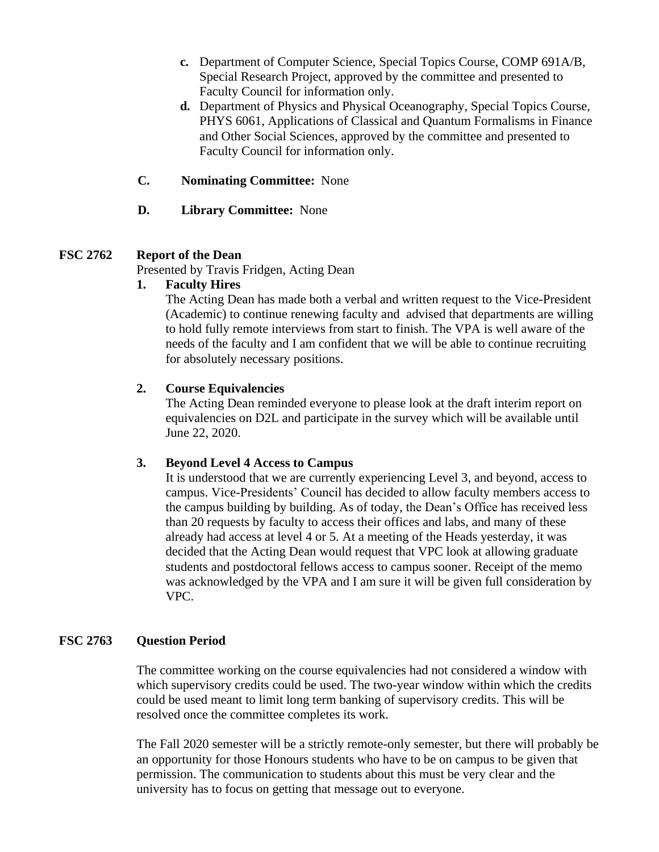- **c.** Department of Computer Science, Special Topics Course, COMP 691A/B, Special Research Project, approved by the committee and presented to Faculty Council for information only.
- **d.** Department of Physics and Physical Oceanography, Special Topics Course, PHYS 6061, Applications of Classical and Quantum Formalisms in Finance and Other Social Sciences, approved by the committee and presented to Faculty Council for information only.
- **C. Nominating Committee:** None
- **D. Library Committee:** None

## **FSC 2762 Report of the Dean**

Presented by Travis Fridgen, Acting Dean

#### **1. Faculty Hires**

The Acting Dean has made both a verbal and written request to the Vice-President (Academic) to continue renewing faculty and advised that departments are willing to hold fully remote interviews from start to finish. The VPA is well aware of the needs of the faculty and I am confident that we will be able to continue recruiting for absolutely necessary positions.

#### **2. Course Equivalencies**

The Acting Dean reminded everyone to please look at the draft interim report on equivalencies on D2L and participate in the survey which will be available until June 22, 2020.

#### **3. Beyond Level 4 Access to Campus**

It is understood that we are currently experiencing Level 3, and beyond, access to campus. Vice-Presidents' Council has decided to allow faculty members access to the campus building by building. As of today, the Dean's Office has received less than 20 requests by faculty to access their offices and labs, and many of these already had access at level 4 or 5. At a meeting of the Heads yesterday, it was decided that the Acting Dean would request that VPC look at allowing graduate students and postdoctoral fellows access to campus sooner. Receipt of the memo was acknowledged by the VPA and I am sure it will be given full consideration by VPC.

#### **FSC 2763 Question Period**

The committee working on the course equivalencies had not considered a window with which supervisory credits could be used. The two-year window within which the credits could be used meant to limit long term banking of supervisory credits. This will be resolved once the committee completes its work.

The Fall 2020 semester will be a strictly remote-only semester, but there will probably be an opportunity for those Honours students who have to be on campus to be given that permission. The communication to students about this must be very clear and the university has to focus on getting that message out to everyone.